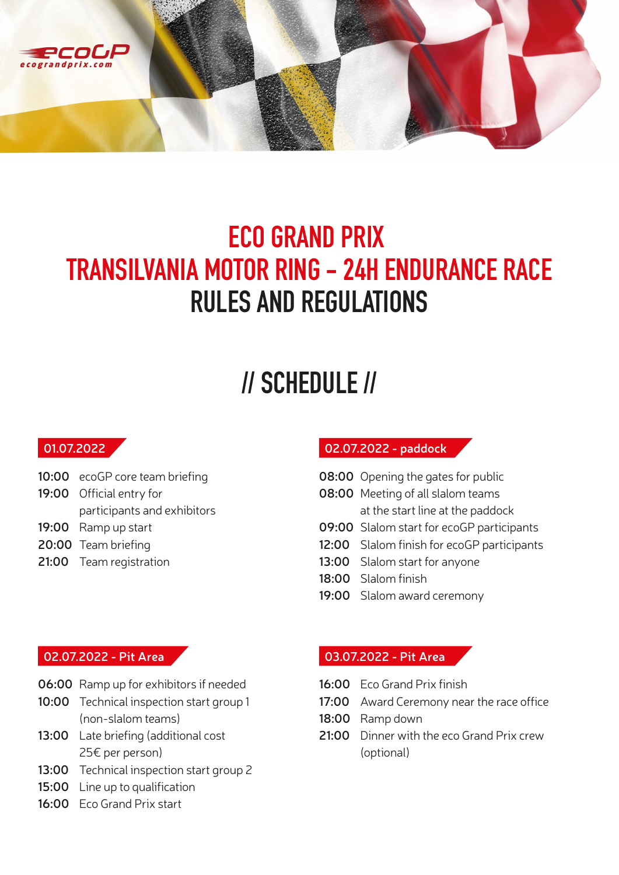

### **ECO GRAND PRIX TRANSILVANIA MOTOR RING - 24H ENDURANCE RACE RULES AND REGULATIONS**

# **// SCHEDULE //**

#### **01.07.2022**

- **10:00** ecoGP core team briefing
- **19:00** Official entry for participants and exhibitors
- **19:00** Ramp up start
- **20:00** Team briefing
- **21:00** Team registration

#### **02.07.2022 - paddock**

- **08:00** Opening the gates for public
- **08:00** Meeting of all slalom teams at the start line at the paddock
- **09:00** Slalom start for ecoGP participants
- **12:00** Slalom finish for ecoGP participants
- **13:00** Slalom start for anyone
- **18:00** Slalom finish
- **19:00** Slalom award ceremony

#### **02.07.2022 - Pit Area**

- **06:00** Ramp up for exhibitors if needed
- **10:00** Technical inspection start group 1 (non-slalom teams)
- **13:00** Late briefing (additional cost 25€ per person)
- **13:00** Technical inspection start group 2
- **15:00** Line up to qualification
- **16:00** Eco Grand Prix start

#### **03.07.2022 - Pit Area**

- **16:00** Eco Grand Prix finish
- **17:00** Award Ceremony near the race office
- **18:00** Ramp down
- **21:00** Dinner with the eco Grand Prix crew (optional)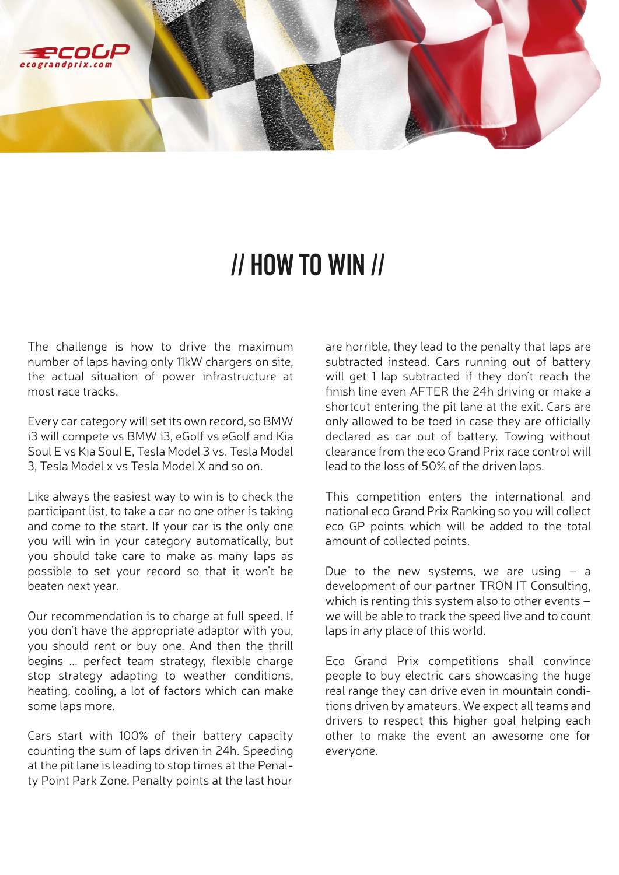

### **// HOW TO WIN //**

The challenge is how to drive the maximum number of laps having only 11kW chargers on site, the actual situation of power infrastructure at most race tracks.

Every car category will set its own record, so BMW i3 will compete vs BMW i3, eGolf vs eGolf and Kia Soul E vs Kia Soul E, Tesla Model 3 vs. Tesla Model 3, Tesla Model x vs Tesla Model X and so on.

Like always the easiest way to win is to check the participant list, to take a car no one other is taking and come to the start. If your car is the only one you will win in your category automatically, but you should take care to make as many laps as possible to set your record so that it won't be beaten next year.

Our recommendation is to charge at full speed. If you don't have the appropriate adaptor with you, you should rent or buy one. And then the thrill begins ... perfect team strategy, flexible charge stop strategy adapting to weather conditions, heating, cooling, a lot of factors which can make some laps more.

Cars start with 100% of their battery capacity counting the sum of laps driven in 24h. Speeding at the pit lane is leading to stop times at the Penalty Point Park Zone. Penalty points at the last hour

are horrible, they lead to the penalty that laps are subtracted instead. Cars running out of battery will get 1 lap subtracted if they don't reach the finish line even AFTER the 24h driving or make a shortcut entering the pit lane at the exit. Cars are only allowed to be toed in case they are officially declared as car out of battery. Towing without clearance from the eco Grand Prix race control will lead to the loss of 50% of the driven laps.

This competition enters the international and national eco Grand Prix Ranking so you will collect eco GP points which will be added to the total amount of collected points.

Due to the new systems, we are using  $-$  a development of our partner TRON IT Consulting, which is renting this system also to other events – we will be able to track the speed live and to count laps in any place of this world.

Eco Grand Prix competitions shall convince people to buy electric cars showcasing the huge real range they can drive even in mountain conditions driven by amateurs. We expect all teams and drivers to respect this higher goal helping each other to make the event an awesome one for everyone.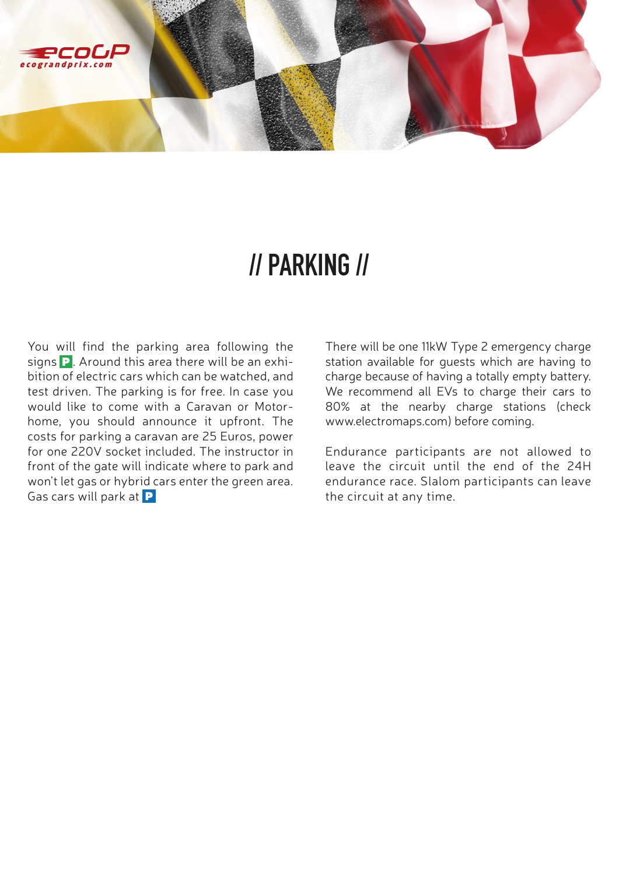

### **// PARKING //**

You will find the parking area following the signs  $\overline{P}$ . Around this area there will be an exhibition of electric cars which can be watched, and test driven. The parking is for free. In case you would like to come with a Caravan or Motorhome, you should announce it upfront. The costs for parking a caravan are 25 Euros, power for one 220V socket included. The instructor in front of the gate will indicate where to park and won't let gas or hybrid cars enter the green area. Gas cars will park at  $\mathbf P$ 

There will be one 11kW Type 2 emergency charge station available for guests which are having to charge because of having a totally empty battery. We recommend all EVs to charge their cars to 80% at the nearby charge stations (check www.electromaps.com) before coming.

Endurance participants are not allowed to leave the circuit until the end of the 24H endurance race. Slalom participants can leave the circuit at any time.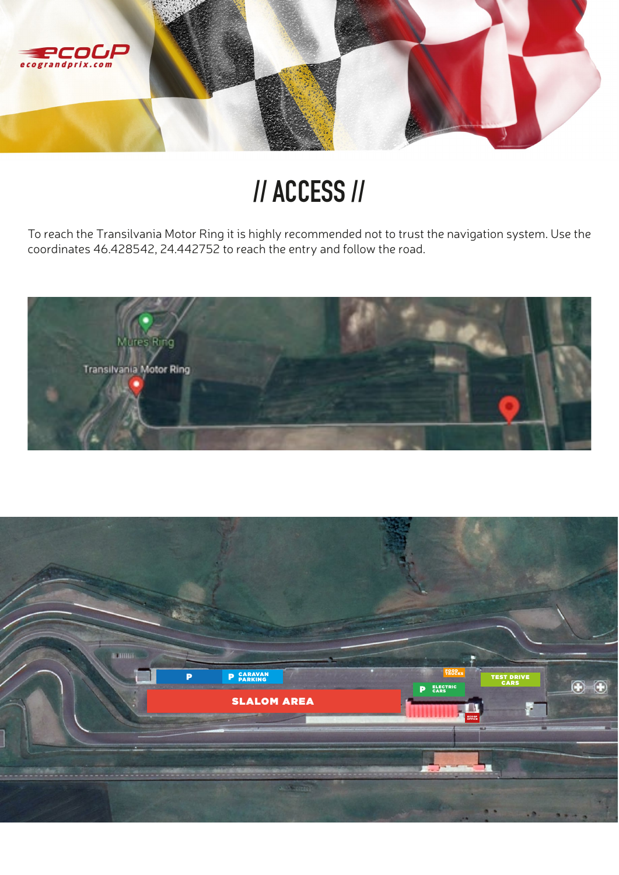

# **// ACCESS //**

To reach the Transilvania Motor Ring it is highly recommended not to trust the navigation system. Use the coordinates 46.428542, 24.442752 to reach the entry and follow the road.



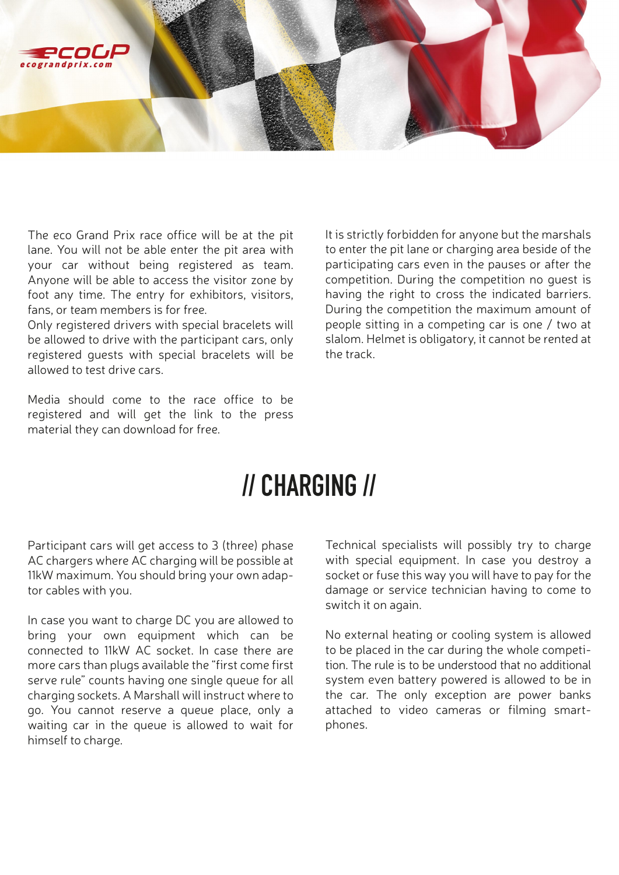

The eco Grand Prix race office will be at the pit lane. You will not be able enter the pit area with your car without being registered as team. Anyone will be able to access the visitor zone by foot any time. The entry for exhibitors, visitors, fans, or team members is for free.

Only registered drivers with special bracelets will be allowed to drive with the participant cars, only registered guests with special bracelets will be allowed to test drive cars.

Media should come to the race office to be registered and will get the link to the press material they can download for free.

It is strictly forbidden for anyone but the marshals to enter the pit lane or charging area beside of the participating cars even in the pauses or after the competition. During the competition no guest is having the right to cross the indicated barriers. During the competition the maximum amount of people sitting in a competing car is one / two at slalom. Helmet is obligatory, it cannot be rented at the track.

## **// CHARGING //**

Participant cars will get access to 3 (three) phase AC chargers where AC charging will be possible at 11kW maximum. You should bring your own adaptor cables with you.

In case you want to charge DC you are allowed to bring your own equipment which can be connected to 11kW AC socket. In case there are more cars than plugs available the "first come first serve rule" counts having one single queue for all charging sockets. A Marshall will instruct where to go. You cannot reserve a queue place, only a waiting car in the queue is allowed to wait for himself to charge.

Technical specialists will possibly try to charge with special equipment. In case you destroy a socket or fuse this way you will have to pay for the damage or service technician having to come to switch it on again.

No external heating or cooling system is allowed to be placed in the car during the whole competition. The rule is to be understood that no additional system even battery powered is allowed to be in the car. The only exception are power banks attached to video cameras or filming smartphones.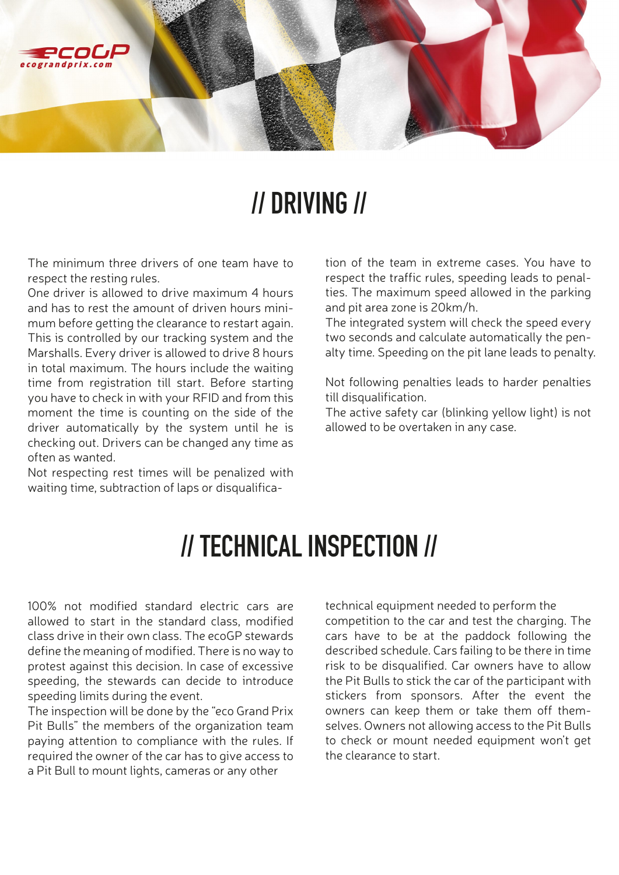

### **// DRIVING //**

The minimum three drivers of one team have to respect the resting rules.

One driver is allowed to drive maximum 4 hours and has to rest the amount of driven hours minimum before getting the clearance to restart again. This is controlled by our tracking system and the Marshalls. Every driver is allowed to drive 8 hours in total maximum. The hours include the waiting time from registration till start. Before starting you have to check in with your RFID and from this moment the time is counting on the side of the driver automatically by the system until he is checking out. Drivers can be changed any time as often as wanted.

Not respecting rest times will be penalized with waiting time, subtraction of laps or disqualification of the team in extreme cases. You have to respect the traffic rules, speeding leads to penalties. The maximum speed allowed in the parking and pit area zone is 20km/h.

The integrated system will check the speed every two seconds and calculate automatically the penalty time. Speeding on the pit lane leads to penalty.

Not following penalties leads to harder penalties till disqualification.

The active safety car (blinking yellow light) is not allowed to be overtaken in any case.

### **// TECHNICAL INSPECTION //**

100% not modified standard electric cars are allowed to start in the standard class, modified class drive in their own class. The ecoGP stewards define the meaning of modified. There is no way to protest against this decision. In case of excessive speeding, the stewards can decide to introduce speeding limits during the event.

The inspection will be done by the "eco Grand Prix Pit Bulls" the members of the organization team paying attention to compliance with the rules. If required the owner of the car has to give access to a Pit Bull to mount lights, cameras or any other

technical equipment needed to perform the competition to the car and test the charging. The cars have to be at the paddock following the described schedule. Cars failing to be there in time risk to be disqualified. Car owners have to allow the Pit Bulls to stick the car of the participant with stickers from sponsors. After the event the owners can keep them or take them off themselves. Owners not allowing access to the Pit Bulls to check or mount needed equipment won't get the clearance to start.